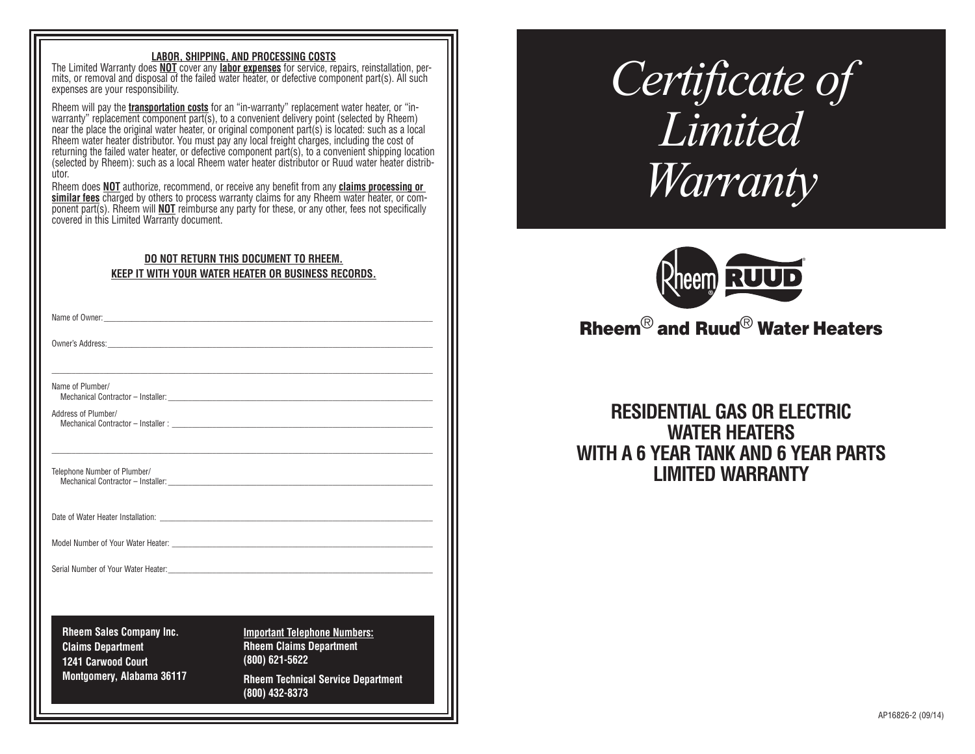#### **LABOR, SHIPPING, AND PROCESSING COSTS**

The Limited Warranty does **NOT** cover any **labor expenses** for service, repairs, reinstallation, per mits, or removal and disposal of the failed water heater, or defective component part(s). All such expenses are your responsibility.

Rheem will pay the **transportation costs** for an "in-warranty" replacement water heater, or "inwarranty" replacement component part(s), to a convenient delivery point (selected by Rheem) near the place the original water heater, or original component part(s) is located: such as a local Rheem water heater distributor. You must pay any local freight charges, including the cost of returning the failed water heater, or defective component part(s), to a convenient shipping location (selected by Rheem): such as a local Rheem water heater distributor or Ruud water heater distrib ùtor

Rheem does **NOT** authorize, recommend, or receive any benefit from any **claims processing or similar fees** charged by others to process warranty claims for any Rheem water heater, or component part(s). Rheem will **NOT** reimburse any party for these, or any other, fees not specifically covered in this Limited Warranty document.

## **DO NOT RETURN THIS DOCUMENT TO RHEEM. KEEP IT WITH YOUR WATER HEATER OR BUSINESS RECORDS.**

\_\_\_\_\_\_\_\_\_\_\_\_\_\_\_\_\_\_\_\_\_\_\_\_\_\_\_\_\_\_\_\_\_\_\_\_\_\_\_\_\_\_\_\_\_\_\_\_\_\_\_\_\_\_\_\_\_\_\_\_\_\_\_\_\_\_\_\_\_\_\_\_\_\_\_\_\_\_\_\_\_\_\_\_\_\_\_\_\_\_\_\_\_\_\_

\_\_\_\_\_\_\_\_\_\_\_\_\_\_\_\_\_\_\_\_\_\_\_\_\_\_\_\_\_\_\_\_\_\_\_\_\_\_\_\_\_\_\_\_\_\_\_\_\_\_\_\_\_\_\_\_\_\_\_\_\_\_\_\_\_\_\_\_\_\_\_\_\_\_\_\_\_\_\_\_\_\_\_\_\_\_\_\_\_\_\_\_\_\_\_

Name of Owner:

Owner's Address:

Name of Plumber/

Mechanical Contractor - Installer:

Address of Plumber/ Mechanical Contractor – Installer :

Telephone Number of Plumber/ Mechanical Contractor – Installer:

Date of Water Heater Installation:

Model Number of Your Water Heater:

Serial Number of Your Water Heater:

**Rheem Sales Company Inc. Claims Department 1241 Carwood Court Montgomery, Alabama 36117** **Important Telephone Numbers: Rheem Claims Department (800) 621-5622 Rheem Technical Service Department**

**(800) 432-8373** 

*Certificate of Limited Warranty*



# Rheem® and Ruud® Water Heaters

# **RESIDENTIAL GAS OR ELECTRIC WATER HEATERS WITH A 6 YEAR TANK AND 6 YEAR PARTS LIMITED WARRANTY**